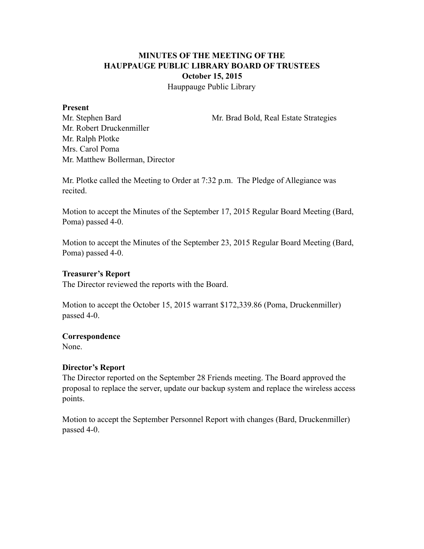# **MINUTES OF THE MEETING OF THE HAUPPAUGE PUBLIC LIBRARY BOARD OF TRUSTEES October 15, 2015**

Hauppauge Public Library

#### **Present**

Mr. Stephen Bard Mr. Brad Bold, Real Estate Strategies

Mr. Robert Druckenmiller Mr. Ralph Plotke Mrs. Carol Poma Mr. Matthew Bollerman, Director

Mr. Plotke called the Meeting to Order at 7:32 p.m. The Pledge of Allegiance was recited.

Motion to accept the Minutes of the September 17, 2015 Regular Board Meeting (Bard, Poma) passed 4-0.

Motion to accept the Minutes of the September 23, 2015 Regular Board Meeting (Bard, Poma) passed 4-0.

## **Treasurer's Report**

The Director reviewed the reports with the Board.

Motion to accept the October 15, 2015 warrant \$172,339.86 (Poma, Druckenmiller) passed 4-0.

## **Correspondence**

None.

# **Director's Report**

The Director reported on the September 28 Friends meeting. The Board approved the proposal to replace the server, update our backup system and replace the wireless access points.

Motion to accept the September Personnel Report with changes (Bard, Druckenmiller) passed 4-0.